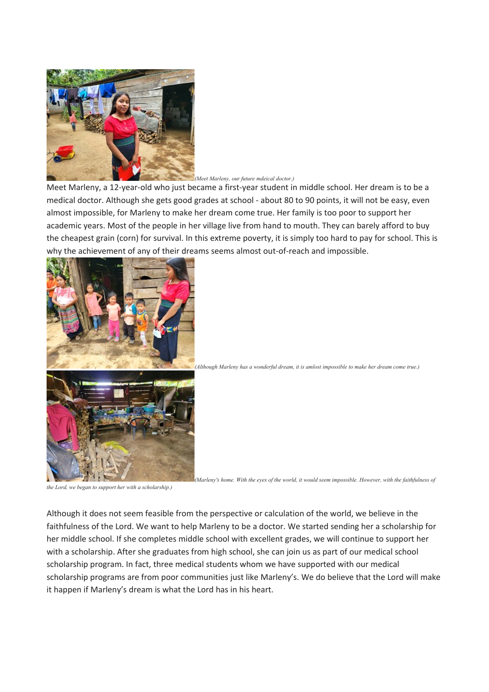

## *(Meet Marleny, our future mdeical doctor.)*

Meet Marleny, a 12-year-old who just became a first-year student in middle school. Her dream is to be a medical doctor. Although she gets good grades at school - about 80 to 90 points, it will not be easy, even almost impossible, for Marleny to make her dream come true. Her family is too poor to support her academic years. Most of the people in her village live from hand to mouth. They can barely afford to buy the cheapest grain (corn) for survival. In this extreme poverty, it is simply too hard to pay for school. This is why the achievement of any of their dreams seems almost out-of-reach and impossible.





*(Marleny's home. With the eyes of the world, it would seem impossible. However, with the faithfulness of* 

*the Lord, we began to support her with a scholarship.)*

Although it does not seem feasible from the perspective or calculation of the world, we believe in the faithfulness of the Lord. We want to help Marleny to be a doctor. We started sending her a scholarship for her middle school. If she completes middle school with excellent grades, we will continue to support her with a scholarship. After she graduates from high school, she can join us as part of our medical school scholarship program. In fact, three medical students whom we have supported with our medical scholarship programs are from poor communities just like Marleny's. We do believe that the Lord will make it happen if Marleny's dream is what the Lord has in his heart.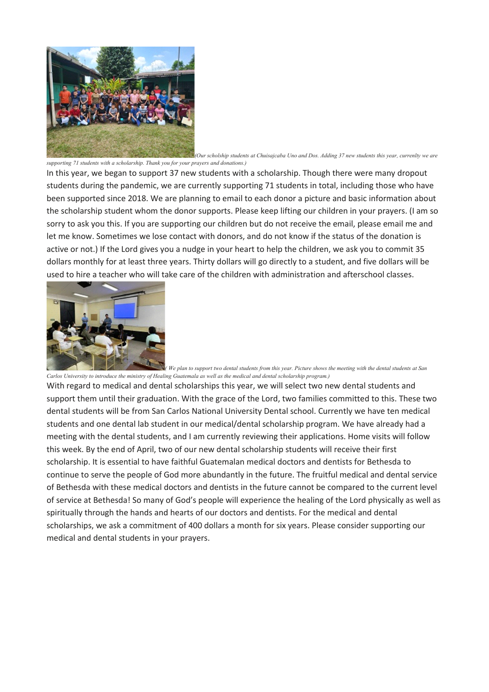

*(Our scholship students at Chuisajcaba Uno and Dos. Adding 37 new students this year, currenlty we are supporting 71 students with a scholarship. Thank you for your prayers and donations.)*

In this year, we began to support 37 new students with a scholarship. Though there were many dropout students during the pandemic, we are currently supporting 71 students in total, including those who have been supported since 2018. We are planning to email to each donor a picture and basic information about the scholarship student whom the donor supports. Please keep lifting our children in your prayers. (I am so sorry to ask you this. If you are supporting our children but do not receive the email, please email me and let me know. Sometimes we lose contact with donors, and do not know if the status of the donation is active or not.) If the Lord gives you a nudge in your heart to help the children, we ask you to commit 35 dollars monthly for at least three years. Thirty dollars will go directly to a student, and five dollars will be used to hire a teacher who will take care of the children with administration and afterschool classes.



*( We plan to support two dental students from this year. Picture shows the meeting with the dental students at San Carlos University to introduce the ministry of Healing Guatemala as well as the medical and dental scholarship program.)*

With regard to medical and dental scholarships this year, we will select two new dental students and support them until their graduation. With the grace of the Lord, two families committed to this. These two dental students will be from San Carlos National University Dental school. Currently we have ten medical students and one dental lab student in our medical/dental scholarship program. We have already had a meeting with the dental students, and I am currently reviewing their applications. Home visits will follow this week. By the end of April, two of our new dental scholarship students will receive their first scholarship. It is essential to have faithful Guatemalan medical doctors and dentists for Bethesda to continue to serve the people of God more abundantly in the future. The fruitful medical and dental service of Bethesda with these medical doctors and dentists in the future cannot be compared to the current level of service at Bethesda! So many of God's people will experience the healing of the Lord physically as well as spiritually through the hands and hearts of our doctors and dentists. For the medical and dental scholarships, we ask a commitment of 400 dollars a month for six years. Please consider supporting our medical and dental students in your prayers.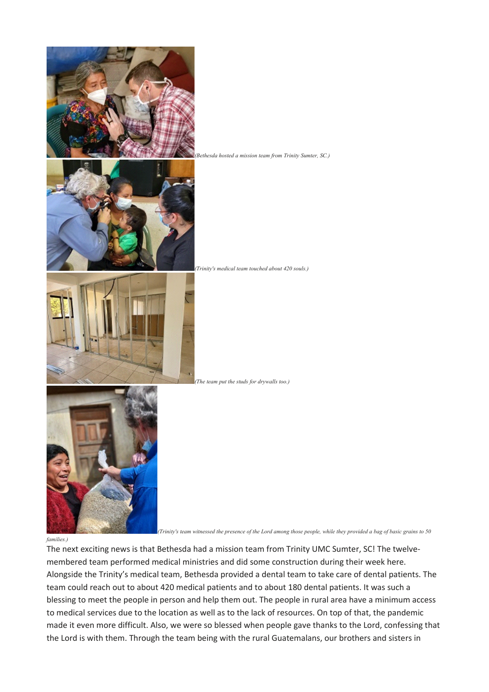

*families.)*

*(Trinity's team witnessed the presence of the Lord among those people, while they provided a bag of basic grains to 50* 

The next exciting news is that Bethesda had a mission team from Trinity UMC Sumter, SC! The twelvemembered team performed medical ministries and did some construction during their week here. Alongside the Trinity's medical team, Bethesda provided a dental team to take care of dental patients. The team could reach out to about 420 medical patients and to about 180 dental patients. It was such a blessing to meet the people in person and help them out. The people in rural area have a minimum access to medical services due to the location as well as to the lack of resources. On top of that, the pandemic made it even more difficult. Also, we were so blessed when people gave thanks to the Lord, confessing that the Lord is with them. Through the team being with the rural Guatemalans, our brothers and sisters in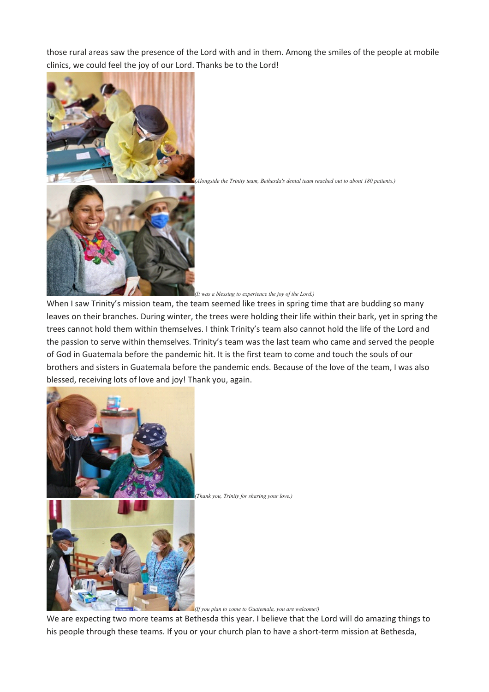those rural areas saw the presence of the Lord with and in them. Among the smiles of the people at mobile clinics, we could feel the joy of our Lord. Thanks be to the Lord!



*(Alongside the Trinity team, Bethesda's dental team reached out to about 180 patients.)*



When I saw Trinity's mission team, the team seemed like trees in spring time that are budding so many leaves on their branches. During winter, the trees were holding their life within their bark, yet in spring the trees cannot hold them within themselves. I think Trinity's team also cannot hold the life of the Lord and the passion to serve within themselves. Trinity's team was the last team who came and served the people of God in Guatemala before the pandemic hit. It is the first team to come and touch the souls of our brothers and sisters in Guatemala before the pandemic ends. Because of the love of the team, I was also blessed, receiving lots of love and joy! Thank you, again.



*(Thank you, Trinity for sharing your love.)*

*(If you plan to come to Guatemala, you are welcome!)*

We are expecting two more teams at Bethesda this year. I believe that the Lord will do amazing things to his people through these teams. If you or your church plan to have a short-term mission at Bethesda,